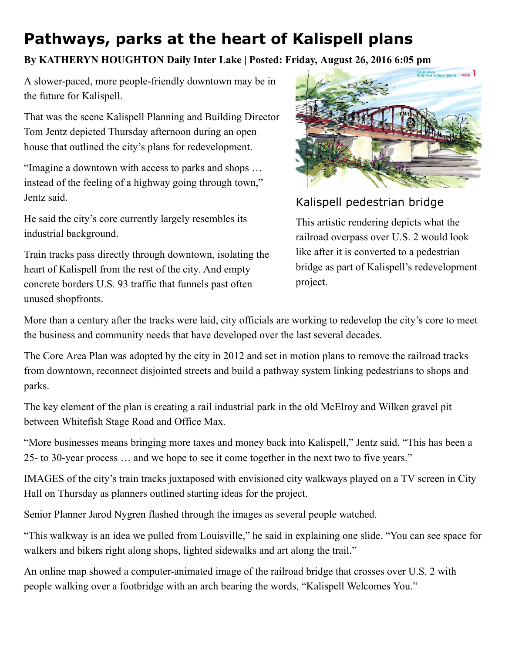## Pathways, parks at the heart of Kalispell plans

## By KATHERYN HOUGHTON Daily Inter Lake | Posted: Friday, August 26, 2016 6:05 pm

A slower-paced, more people-friendly downtown may be in the future for Kalispell.

That was the scene Kalispell Planning and Building Director Tom Jentz depicted Thursday afternoon during an open house that outlined the city's plans for redevelopment.

"Imagine a downtown with access to parks and shops … instead of the feeling of a highway going through town," Jentz said.

He said the city's core currently largely resembles its industrial background.

Train tracks pass directly through downtown, isolating the heart of Kalispell from the rest of the city. And empty concrete borders U.S. 93 traffic that funnels past often unused shopfronts.



## Kalispell pedestrian bridge

This artistic rendering depicts what the railroad overpass over U.S. 2 would look like after it is converted to a pedestrian bridge as part of Kalispell's redevelopment project.

More than a century after the tracks were laid, city officials are working to redevelop the city's core to meet the business and community needs that have developed over the last several decades.

The Core Area Plan was adopted by the city in 2012 and set in motion plans to remove the railroad tracks from downtown, reconnect disjointed streets and build a pathway system linking pedestrians to shops and parks.

The key element of the plan is creating a rail industrial park in the old McElroy and Wilken gravel pit between Whitefish Stage Road and Office Max.

"More businesses means bringing more taxes and money back into Kalispell," Jentz said. "This has been a 25- to 30-year process ... and we hope to see it come together in the next two to five years."

IMAGES of the city's train tracks juxtaposed with envisioned city walkways played on a TV screen in City Hall on Thursday as planners outlined starting ideas for the project.

Senior Planner Jarod Nygren flashed through the images as several people watched.

"This walkway is an idea we pulled from Louisville," he said in explaining one slide. "You can see space for walkers and bikers right along shops, lighted sidewalks and art along the trail."

An online map showed a computer-animated image of the railroad bridge that crosses over U.S. 2 with people walking over a footbridge with an arch bearing the words, "Kalispell Welcomes You."